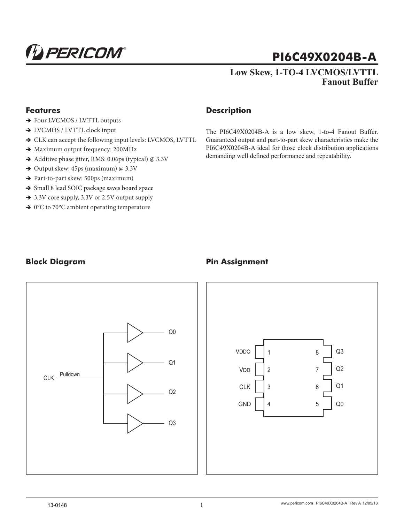

# **PI6C49X0204B-A**

## **Low Skew, 1-TO-4 LVCMOS/LVTTL Fanout Buffer**

#### **Features**

- $\rightarrow$  Four LVCMOS / LVTTL outputs
- → LVCMOS / LVTTL clock input
- $\rightarrow$  CLK can accept the following input levels: LVCMOS, LVTTL
- $\rightarrow$  Maximum output frequency: 200MHz
- Additive phase jitter, RMS: 0.06ps (typical) @ 3.3V
- $\rightarrow$  Output skew: 45ps (maximum) @ 3.3V
- $\rightarrow$  Part-to-part skew: 500ps (maximum)
- $\rightarrow$  Small 8 lead SOIC package saves board space
- $\rightarrow$  3.3V core supply, 3.3V or 2.5V output supply
- $\rightarrow$  0°C to 70°C ambient operating temperature

#### **Description**

The PI6C49X0204B-A is a low skew, 1-to-4 Fanout Buffer. Guaranteed output and part-to-part skew characteristics make the PI6C49X0204B-A ideal for those clock distribution applications demanding well defined performance and repeatability.

## **Block Diagram**



# **Pin Assignment**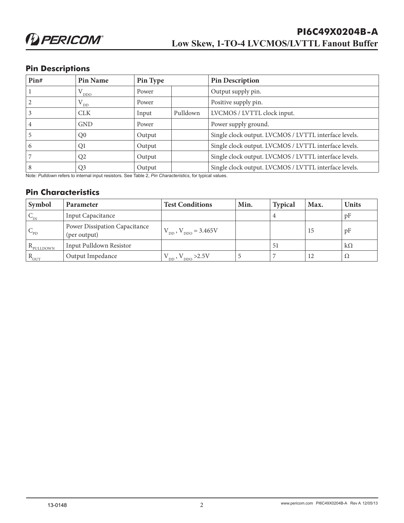## **Pin Descriptions**

| Pin# | Pin Name          | Pin Type |          | <b>Pin Description</b>                                |
|------|-------------------|----------|----------|-------------------------------------------------------|
|      | $\rm V_{\rm DDO}$ | Power    |          | Output supply pin.                                    |
|      | $V_{\text{DD}}$   | Power    |          | Positive supply pin.                                  |
|      | <b>CLK</b>        | Input    | Pulldown | LVCMOS / LVTTL clock input.                           |
|      | <b>GND</b>        | Power    |          | Power supply ground.                                  |
|      | Q <sub>0</sub>    | Output   |          | Single clock output. LVCMOS / LVTTL interface levels. |
| 6    | Q1                | Output   |          | Single clock output. LVCMOS / LVTTL interface levels. |
|      | Q <sub>2</sub>    | Output   |          | Single clock output. LVCMOS / LVTTL interface levels. |
| 8    | Q <sub>3</sub>    | Output   |          | Single clock output. LVCMOS / LVTTL interface levels. |

Note: *Pulldown* refers to internal input resistors. See Table 2, *Pin Characteristics*, for typical values.

#### **Pin Characteristics**

| Symbol               | <b>Parameter</b>                                     | <b>Test Conditions</b>        | Min. | <b>Typical</b> | Max. | <b>Units</b> |
|----------------------|------------------------------------------------------|-------------------------------|------|----------------|------|--------------|
| $V_{IN}$             | Input Capacitance                                    |                               |      |                |      | pF           |
| $C_{\text{PD}}$      | <b>Power Dissipation Capacitance</b><br>(per output) | $V_{DD}$ , $V_{DDO} = 3.465V$ |      |                | 15   | pF           |
| $R_{\text{PULDOWN}}$ | Input Pulldown Resistor                              |                               |      | 51             |      | $k\Omega$    |
| $R_{OUT}$            | Output Impedance                                     | $V_{DD}$ , $V_{DDO}$ >2.5V    |      |                | 12   | Ω            |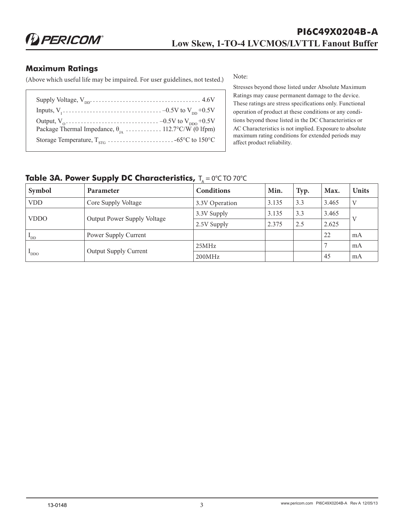**D** PERICOM®

#### **Maximum Ratings**

(Above which useful life may be impaired. For user guidelines, not tested.)

Note:

| Package Thermal Impedance, $\theta_{IA}$ 112.7°C/W (0 lfpm) |  |
|-------------------------------------------------------------|--|
|                                                             |  |

Stresses beyond those listed under Absolute Maximum Ratings may cause permanent damage to the device. These ratings are stress specifications only. Functional operation of product at these conditions or any conditions beyond those listed in the DC Characteristics or AC Characteristics is not implied. Exposure to absolute maximum rating conditions for extended periods may affect product reliability.

## **Table 3A. Power Supply DC Characteristics, T<sub>A</sub> = 0°C TO 70°C**

| Symbol                   | <b>Parameter</b>                   | <b>Conditions</b> | Min.  | Typ. | Max.  | <b>Units</b> |
|--------------------------|------------------------------------|-------------------|-------|------|-------|--------------|
| <b>VDD</b>               | Core Supply Voltage                | 3.3V Operation    | 3.135 | 3.3  | 3.465 | V            |
|                          |                                    | 3.3V Supply       | 3.135 | 3.3  | 3.465 |              |
| <b>VDDO</b>              | <b>Output Power Supply Voltage</b> | 2.5V Supply       | 2.375 | 2.5  | 2.625 |              |
| $\mathbf{L}_{\text{DD}}$ | Power Supply Current               |                   |       |      | 22    | mA           |
| $\text{DDO}$             | <b>Output Supply Current</b>       | 25MHz             |       |      |       | mA           |
|                          |                                    | 200MHz            |       |      | 45    | mA           |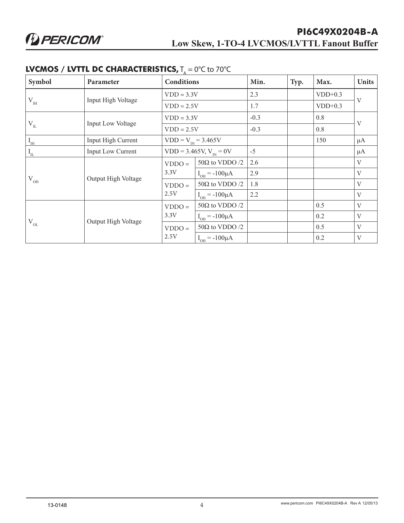| Symbol                         | Parameter                           | $\mathbf{I} \bullet \mathbf{I} \bullet \mathbf{I} \bullet \mathbf{I} \bullet \mathbf{I} \bullet \mathbf{I} \bullet \mathbf{I} \bullet \mathbf{I} \bullet \mathbf{I} \bullet \mathbf{I} \bullet \mathbf{I} \bullet \mathbf{I} \bullet \mathbf{I} \bullet \mathbf{I} \bullet \mathbf{I} \bullet \mathbf{I} \bullet \mathbf{I} \bullet \mathbf{I} \bullet \mathbf{I} \bullet \mathbf{I} \bullet \mathbf{I} \bullet \mathbf{I} \bullet \mathbf{I} \bullet \mathbf{I} \bullet \mathbf{I} \bullet \mathbf{I} \bullet \mathbf{I} \bullet \mathbf{$<br><b>Conditions</b> |                       | Min.   | Typ. | Max.      | <b>Units</b> |
|--------------------------------|-------------------------------------|------------------------------------------------------------------------------------------------------------------------------------------------------------------------------------------------------------------------------------------------------------------------------------------------------------------------------------------------------------------------------------------------------------------------------------------------------------------------------------------------------------------------------------------------------------------|-----------------------|--------|------|-----------|--------------|
|                                |                                     | $VDD = 3.3V$                                                                                                                                                                                                                                                                                                                                                                                                                                                                                                                                                     |                       | 2.3    |      | $VDD+0.3$ |              |
| $V_{\scriptscriptstyle\rm IH}$ | Input High Voltage                  |                                                                                                                                                                                                                                                                                                                                                                                                                                                                                                                                                                  | $VDD = 2.5V$          |        |      | $VDD+0.3$ | $\mathbf{V}$ |
|                                |                                     | $VDD = 3.3V$                                                                                                                                                                                                                                                                                                                                                                                                                                                                                                                                                     |                       | $-0.3$ |      | 0.8       |              |
| $\rm V_{_{II}}$                | Input Low Voltage                   | $VDD = 2.5V$                                                                                                                                                                                                                                                                                                                                                                                                                                                                                                                                                     |                       | $-0.3$ |      | 0.8       | $\mathbf{V}$ |
| $I_{\text{IH}}$                | Input High Current                  | $VDD = V_{IN} = 3.465V$                                                                                                                                                                                                                                                                                                                                                                                                                                                                                                                                          |                       |        |      | 150       | $\mu A$      |
| $I_{\text{IL}}$                | Input Low Current                   | $VDD = 3.465V, V_{N} = 0V$                                                                                                                                                                                                                                                                                                                                                                                                                                                                                                                                       |                       | $-5$   |      |           | $\mu A$      |
|                                | Output High Voltage                 | $VDDO =$<br>3.3V                                                                                                                                                                                                                                                                                                                                                                                                                                                                                                                                                 | $50\Omega$ to VDDO /2 | 2.6    |      |           | V            |
|                                |                                     |                                                                                                                                                                                                                                                                                                                                                                                                                                                                                                                                                                  | $I_{OH} = -100 \mu A$ | 2.9    |      |           | $\rm V$      |
| $\rm V_{OH}$                   |                                     | $VDDO =$<br>2.5V                                                                                                                                                                                                                                                                                                                                                                                                                                                                                                                                                 | $50\Omega$ to VDDO /2 | 1.8    |      |           | V            |
|                                |                                     |                                                                                                                                                                                                                                                                                                                                                                                                                                                                                                                                                                  | $I_{OH} = -100 \mu A$ | 2.2    |      |           | $\mathbf{V}$ |
| $V_{OL}$                       | 3.3V<br>Output High Voltage<br>2.5V | $VDDO =$                                                                                                                                                                                                                                                                                                                                                                                                                                                                                                                                                         | $50\Omega$ to VDDO /2 |        |      | 0.5       | V            |
|                                |                                     |                                                                                                                                                                                                                                                                                                                                                                                                                                                                                                                                                                  | $I_{OH} = -100 \mu A$ |        |      | 0.2       | V            |
|                                |                                     | $VDDO =$                                                                                                                                                                                                                                                                                                                                                                                                                                                                                                                                                         | $50\Omega$ to VDDO /2 |        |      | 0.5       | $\mathbf{V}$ |
|                                |                                     |                                                                                                                                                                                                                                                                                                                                                                                                                                                                                                                                                                  | $I_{OH} = -100 \mu A$ |        |      | 0.2       | $\rm V$      |

#### **LVCMOS / LVTTL DC CHARACTERISTICS, T. = 0°C to 70°C**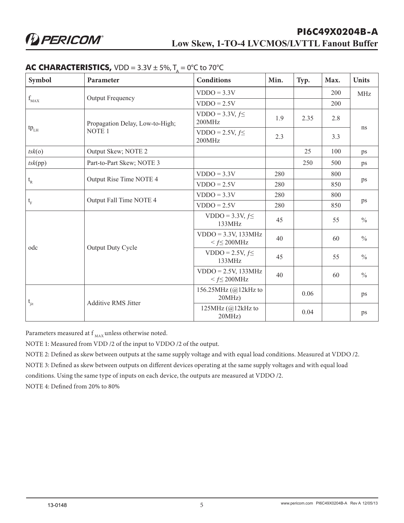| Symbol                                         | Parameter                       | <b>Conditions</b>                               | Min. | Typ. | Max. | <b>Units</b>  |
|------------------------------------------------|---------------------------------|-------------------------------------------------|------|------|------|---------------|
|                                                |                                 | $VDDO = 3.3V$                                   |      |      | 200  | <b>MHz</b>    |
| $f_{MAX}$                                      | Output Frequency                | $VDDO = 2.5V$                                   |      |      | 200  |               |
|                                                | Propagation Delay, Low-to-High; | VDDO = $3.3V, f \leq$<br>200MHz                 | 1.9  | 2.35 | 2.8  | ns            |
| $tp_{LH}$                                      | NOTE <sub>1</sub>               | VDDO = 2.5V, $f \leq$<br>200MHz                 | 2.3  |      | 3.3  |               |
| tsk(o)                                         | Output Skew; NOTE 2             |                                                 |      | 25   | 100  | ps            |
| tsk(pp)                                        | Part-to-Part Skew; NOTE 3       |                                                 |      | 250  | 500  | ps            |
|                                                | Output Rise Time NOTE 4         | $VDDO = 3.3V$                                   | 280  |      | 800  | ps            |
| $\mathfrak{t}_{\rm R}$                         |                                 | $VDDO = 2.5V$                                   | 280  |      | 850  |               |
| $\mathfrak{t}_{\scriptscriptstyle \mathrm{F}}$ | Output Fall Time NOTE 4         | $VDDO = 3.3V$                                   | 280  |      | 800  | ps            |
|                                                |                                 | $VDDO = 2.5V$                                   | 280  |      | 850  |               |
|                                                | Output Duty Cycle               | VDDO = $3.3V, f \leq$<br>133MHz                 | 45   |      | 55   | $\frac{0}{0}$ |
|                                                |                                 | $VDDO = 3.3V, 133MHz$<br>$\leq f \leq 200$ MHz  | 40   |      | 60   | $\frac{0}{0}$ |
| odc<br>$t_{\rm jit}$                           |                                 | $VDDO = 2.5V, f \leq$<br>133MHz                 | 45   |      | 55   | $\frac{0}{0}$ |
|                                                |                                 | $VDDO = 2.5V$ , 133MHz<br>$\leq f \leq 200$ MHz | 40   |      | 60   | $\frac{0}{0}$ |
|                                                | <b>Additive RMS Jitter</b>      | 156.25MHz (@12kHz to<br>20MHz                   |      | 0.06 |      | ps            |
|                                                |                                 | 125MHz (@12kHz to<br>20MHz)                     |      | 0.04 |      | ps            |

#### **AC CHARACTERISTICS,**  $VDD = 3.3V \pm 5\%, T_a = 0^{\circ}C$  to 70°C

Parameters measured at f  $_{\rm MAX}$  unless otherwise noted.

NOTE 1: Measured from VDD /2 of the input to VDDO /2 of the output.

NOTE 2: Defined as skew between outputs at the same supply voltage and with equal load conditions. Measured at VDDO /2.

NOTE 3: Defined as skew between outputs on different devices operating at the same supply voltages and with equal load

conditions. Using the same type of inputs on each device, the outputs are measured at VDDO /2.

NOTE 4: Defined from 20% to 80%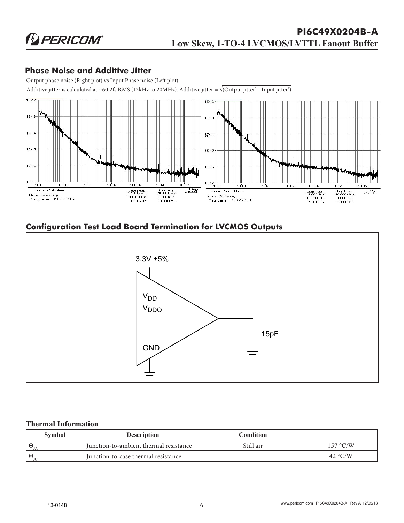## **Phase Noise and Additive Jitter**

Output phase noise (Right plot) vs Input Phase noise (Left plot)



# **Configuration Test Load Board Termination for LVCMOS Outputs**



#### **Thermal Information**

| <b>Symbol</b>                | <b>Description</b>                     | Condition |          |
|------------------------------|----------------------------------------|-----------|----------|
| $\Theta$                     | Iunction-to-ambient thermal resistance | Still air | 157 °C/W |
| $\mathbf{H} \Theta_{\infty}$ | I Junction-to-case thermal resistance  |           | 42 °C/W  |